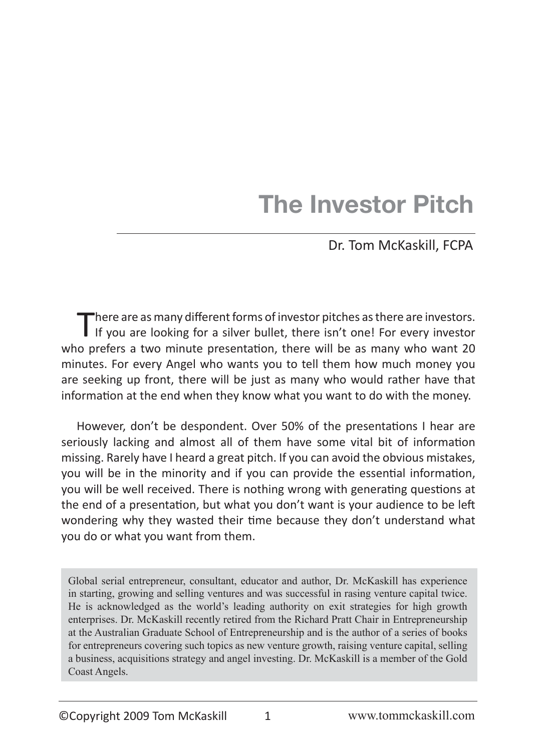# **The Investor Pitch**

# Dr. Tom McKaskill, FCPA

There are as many different forms of investor pitches as there are investors.<br>If you are looking for a silver bullet, there isn't one! For every investor who prefers a two minute presentation, there will be as many who want 20 minutes. For every Angel who wants you to tell them how much money you are seeking up front, there will be just as many who would rather have that information at the end when they know what you want to do with the money.

However, don't be despondent. Over 50% of the presentations I hear are seriously lacking and almost all of them have some vital bit of information missing. Rarely have I heard a great pitch. If you can avoid the obvious mistakes, you will be in the minority and if you can provide the essential information, you will be well received. There is nothing wrong with generating questions at the end of a presentation, but what you don't want is your audience to be left wondering why they wasted their time because they don't understand what you do or what you want from them.

Global serial entrepreneur, consultant, educator and author, Dr. McKaskill has experience in starting, growing and selling ventures and was successful in rasing venture capital twice. He is acknowledged as the world's leading authority on exit strategies for high growth enterprises. Dr. McKaskill recently retired from the Richard Pratt Chair in Entrepreneurship at the Australian Graduate School of Entrepreneurship and is the author of a series of books for entrepreneurs covering such topics as new venture growth, raising venture capital, selling a business, acquisitions strategy and angel investing. Dr. McKaskill is a member of the Gold Coast Angels.

1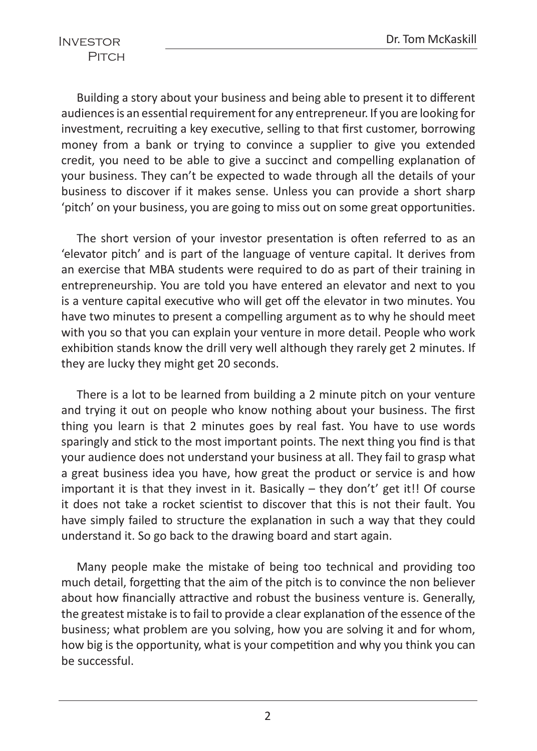Building a story about your business and being able to present it to different audiences is an essential requirement for any entrepreneur. If you are looking for investment, recruiting a key executive, selling to that first customer, borrowing money from a bank or trying to convince a supplier to give you extended credit, you need to be able to give a succinct and compelling explanation of your business. They can't be expected to wade through all the details of your business to discover if it makes sense. Unless you can provide a short sharp 'pitch' on your business, you are going to miss out on some great opportunities.

The short version of your investor presentation is often referred to as an 'elevator pitch' and is part of the language of venture capital. It derives from an exercise that MBA students were required to do as part of their training in entrepreneurship. You are told you have entered an elevator and next to you is a venture capital executive who will get off the elevator in two minutes. You have two minutes to present a compelling argument as to why he should meet with you so that you can explain your venture in more detail. People who work exhibition stands know the drill very well although they rarely get 2 minutes. If they are lucky they might get 20 seconds.

There is a lot to be learned from building a 2 minute pitch on your venture and trying it out on people who know nothing about your business. The first thing you learn is that 2 minutes goes by real fast. You have to use words sparingly and stick to the most important points. The next thing you find is that your audience does not understand your business at all. They fail to grasp what a great business idea you have, how great the product or service is and how important it is that they invest in it. Basically  $-$  they don't' get it!! Of course it does not take a rocket scientist to discover that this is not their fault. You have simply failed to structure the explanation in such a way that they could understand it. So go back to the drawing board and start again.

Many people make the mistake of being too technical and providing too much detail, forgetting that the aim of the pitch is to convince the non believer about how financially attractive and robust the business venture is. Generally, the greatest mistake is to fail to provide a clear explanation of the essence of the business; what problem are you solving, how you are solving it and for whom, how big is the opportunity, what is your competition and why you think you can be successful.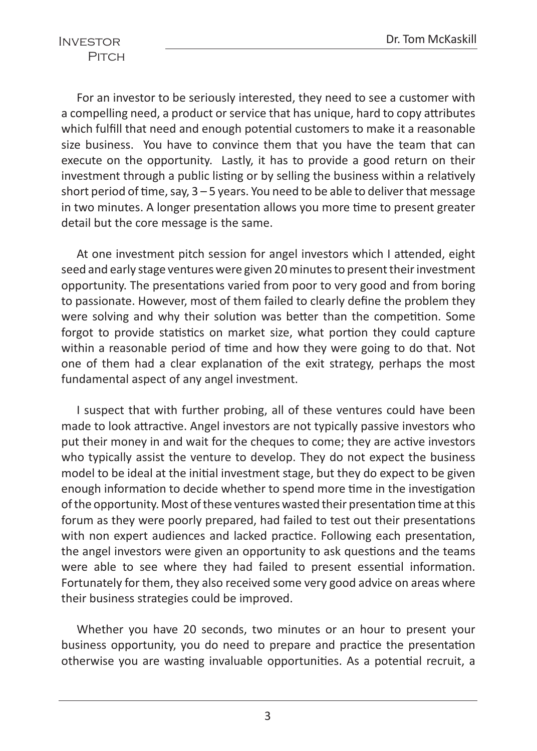For an investor to be seriously interested, they need to see a customer with a compelling need, a product or service that has unique, hard to copy attributes which fulfill that need and enough potential customers to make it a reasonable size business. You have to convince them that you have the team that can execute on the opportunity. Lastly, it has to provide a good return on their investment through a public listing or by selling the business within a relatively short period of time, say,  $3 - 5$  years. You need to be able to deliver that message in two minutes. A longer presentation allows you more time to present greater detail but the core message is the same.

At one investment pitch session for angel investors which I attended, eight seed and early stage ventures were given 20 minutes to present their investment opportunity. The presentations varied from poor to very good and from boring to passionate. However, most of them failed to clearly define the problem they were solving and why their solution was better than the competition. Some forgot to provide statistics on market size, what portion they could capture within a reasonable period of time and how they were going to do that. Not one of them had a clear explanation of the exit strategy, perhaps the most fundamental aspect of any angel investment.

I suspect that with further probing, all of these ventures could have been made to look attractive. Angel investors are not typically passive investors who put their money in and wait for the cheques to come; they are active investors who typically assist the venture to develop. They do not expect the business model to be ideal at the initial investment stage, but they do expect to be given enough information to decide whether to spend more time in the investigation of the opportunity. Most of these ventures wasted their presentation time at this forum as they were poorly prepared, had failed to test out their presentations with non expert audiences and lacked practice. Following each presentation, the angel investors were given an opportunity to ask questions and the teams were able to see where they had failed to present essential information. Fortunately for them, they also received some very good advice on areas where their business strategies could be improved.

Whether you have 20 seconds, two minutes or an hour to present your business opportunity, you do need to prepare and practice the presentation otherwise you are wasting invaluable opportunities. As a potential recruit, a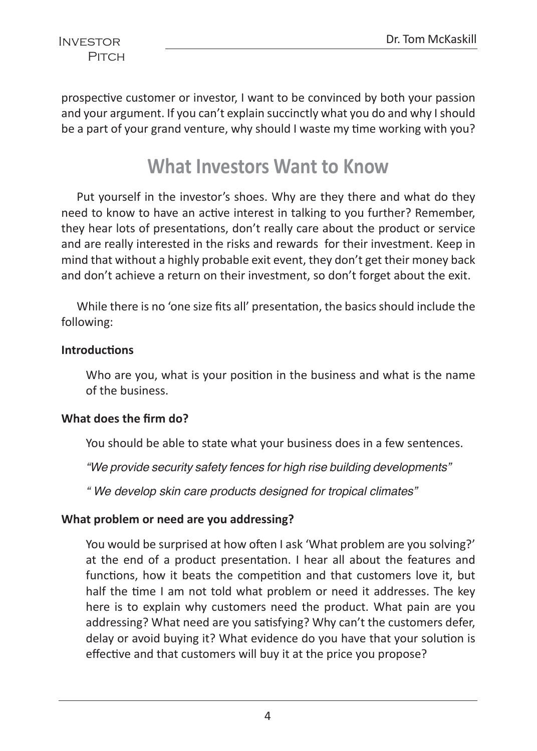prospective customer or investor, I want to be convinced by both your passion and your argument. If you can't explain succinctly what you do and why I should be a part of your grand venture, why should I waste my time working with you?

# **What Investors Want to Know**

Put yourself in the investor's shoes. Why are they there and what do they need to know to have an active interest in talking to you further? Remember, they hear lots of presentations, don't really care about the product or service and are really interested in the risks and rewards for their investment. Keep in mind that without a highly probable exit event, they don't get their money back and don't achieve a return on their investment, so don't forget about the exit.

While there is no 'one size fits all' presentation, the basics should include the following:

#### **Introductions**

Who are you, what is your position in the business and what is the name of the business.

#### **What does the firm do?**

You should be able to state what your business does in a few sentences.

*"We provide security safety fences for high rise building developments"* 

*" We develop skin care products designed for tropical climates"*

### **What problem or need are you addressing?**

You would be surprised at how often I ask 'What problem are you solving?' at the end of a product presentation. I hear all about the features and functions, how it beats the competition and that customers love it, but half the time I am not told what problem or need it addresses. The key here is to explain why customers need the product. What pain are you addressing? What need are you satisfying? Why can't the customers defer, delay or avoid buying it? What evidence do you have that your solution is effective and that customers will buy it at the price you propose?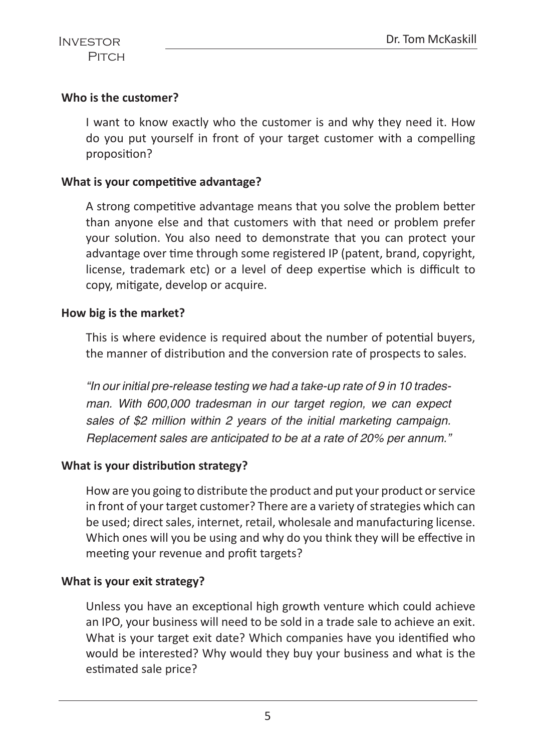#### **Who is the customer?**

I want to know exactly who the customer is and why they need it. How do you put yourself in front of your target customer with a compelling proposition?

#### **What is your competitive advantage?**

A strong competitive advantage means that you solve the problem better than anyone else and that customers with that need or problem prefer your solution. You also need to demonstrate that you can protect your advantage over time through some registered IP (patent, brand, copyright, license, trademark etc) or a level of deep expertise which is difficult to copy, mitigate, develop or acquire.

#### **How big is the market?**

This is where evidence is required about the number of potential buyers, the manner of distribution and the conversion rate of prospects to sales.

*"In our initial pre-release testing we had a take-up rate of 9 in 10 tradesman. With 600,000 tradesman in our target region, we can expect sales of \$2 million within 2 years of the initial marketing campaign. Replacement sales are anticipated to be at a rate of 20% per annum."*

#### **What is your distribution strategy?**

How are you going to distribute the product and put your product or service in front of your target customer? There are a variety of strategies which can be used; direct sales, internet, retail, wholesale and manufacturing license. Which ones will you be using and why do you think they will be effective in meeting your revenue and profit targets?

#### **What is your exit strategy?**

Unless you have an exceptional high growth venture which could achieve an IPO, your business will need to be sold in a trade sale to achieve an exit. What is your target exit date? Which companies have you identified who would be interested? Why would they buy your business and what is the estimated sale price?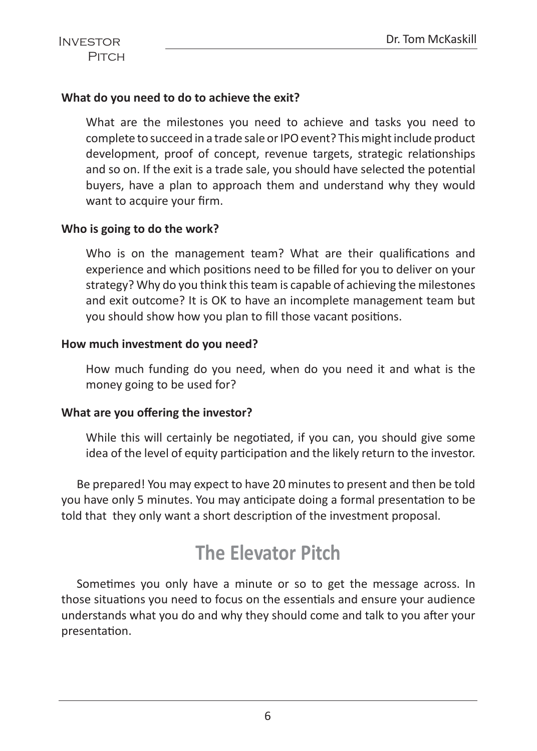# **What do you need to do to achieve the exit?**

What are the milestones you need to achieve and tasks you need to complete to succeed in a trade sale or IPO event? This might include product development, proof of concept, revenue targets, strategic relationships and so on. If the exit is a trade sale, you should have selected the potential buyers, have a plan to approach them and understand why they would want to acquire your firm.

# **Who is going to do the work?**

Who is on the management team? What are their qualifications and experience and which positions need to be filled for you to deliver on your strategy? Why do you think this team is capable of achieving the milestones and exit outcome? It is OK to have an incomplete management team but you should show how you plan to fill those vacant positions.

# **How much investment do you need?**

How much funding do you need, when do you need it and what is the money going to be used for?

### **What are you offering the investor?**

While this will certainly be negotiated, if you can, you should give some idea of the level of equity participation and the likely return to the investor.

Be prepared! You may expect to have 20 minutes to present and then be told you have only 5 minutes. You may anticipate doing a formal presentation to be told that they only want a short description of the investment proposal.

# **The Elevator Pitch**

Sometimes you only have a minute or so to get the message across. In those situations you need to focus on the essentials and ensure your audience understands what you do and why they should come and talk to you after your presentation.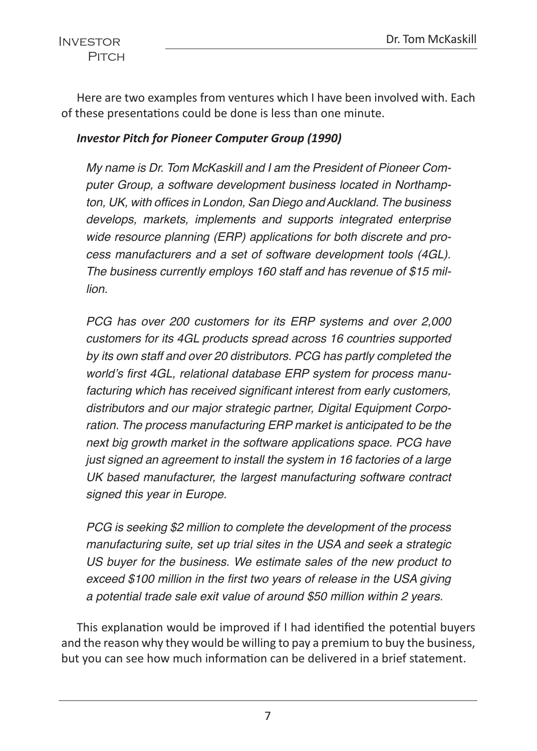Here are two examples from ventures which I have been involved with. Each of these presentations could be done is less than one minute.

# *Investor Pitch for Pioneer Computer Group (1990)*

*My name is Dr. Tom McKaskill and I am the President of Pioneer Computer Group, a software development business located in Northamp*ton, UK, with offices in London, San Diego and Auckland. The business *develops, markets, implements and supports integrated enterprise wide resource planning (ERP) applications for both discrete and pro*cess manufacturers and a set of software development tools (4GL). *The business currently employs 160 staff and has revenue of \$15 million.* 

*PCG has over 200 customers for its ERP systems and over 2,000*  customers for its 4GL products spread across 16 countries supported *by its own staff and over 20 distributors. PCG has partly completed the*  world's first 4GL, relational database ERP system for process manufacturing which has received significant interest from early customers, *distributors and our major strategic partner, Digital Equipment Corporation. The process manufacturing ERP market is anticipated to be the next big growth market in the software applications space. PCG have just signed an agreement to install the system in 16 factories of a large UK based manufacturer, the largest manufacturing software contract signed this year in Europe.* 

*PCG is seeking \$2 million to complete the development of the process*  manufacturing suite, set up trial sites in the USA and seek a strategic US buyer for the business. We estimate sales of the new product to exceed \$100 million in the first two years of release in the USA giving *a potential trade sale exit value of around \$50 million within 2 years.* 

This explanation would be improved if I had identified the potential buyers and the reason why they would be willing to pay a premium to buy the business, but you can see how much information can be delivered in a brief statement.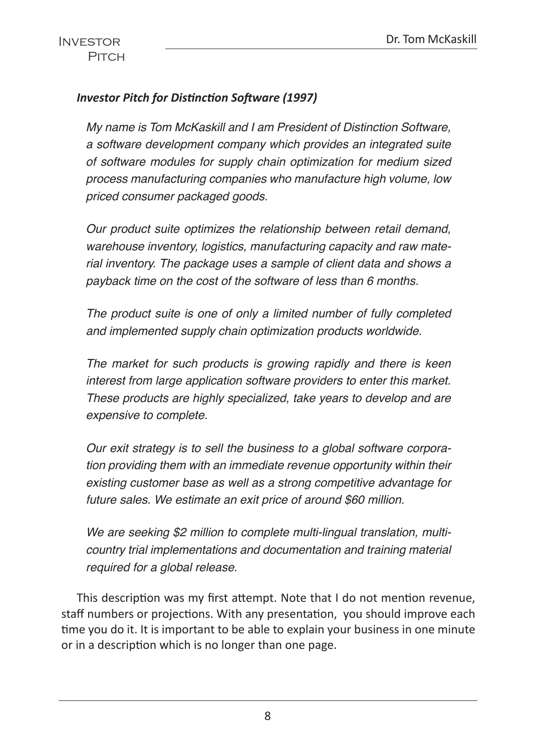# *Investor Pitch for Distinction Software (1997)*

My name is Tom McKaskill and I am President of Distinction Software, *a software development company which provides an integrated suite of software modules for supply chain optimization for medium sized process manufacturing companies who manufacture high volume, low priced consumer packaged goods.*

*Our product suite optimizes the relationship between retail demand, warehouse inventory, logistics, manufacturing capacity and raw material inventory. The package uses a sample of client data and shows a payback time on the cost of the software of less than 6 months.*

*The product suite is one of only a limited number of fully completed and implemented supply chain optimization products worldwide.* 

*The market for such products is growing rapidly and there is keen interest from large application software providers to enter this market. These products are highly specialized, take years to develop and are expensive to complete.* 

*Our exit strategy is to sell the business to a global software corporation providing them with an immediate revenue opportunity within their existing customer base as well as a strong competitive advantage for future sales. We estimate an exit price of around \$60 million.*

*We are seeking \$2 million to complete multi-lingual translation, multicountry trial implementations and documentation and training material required for a global release.* 

This description was my first attempt. Note that I do not mention revenue, staff numbers or projections. With any presentation, you should improve each time you do it. It is important to be able to explain your business in one minute or in a description which is no longer than one page.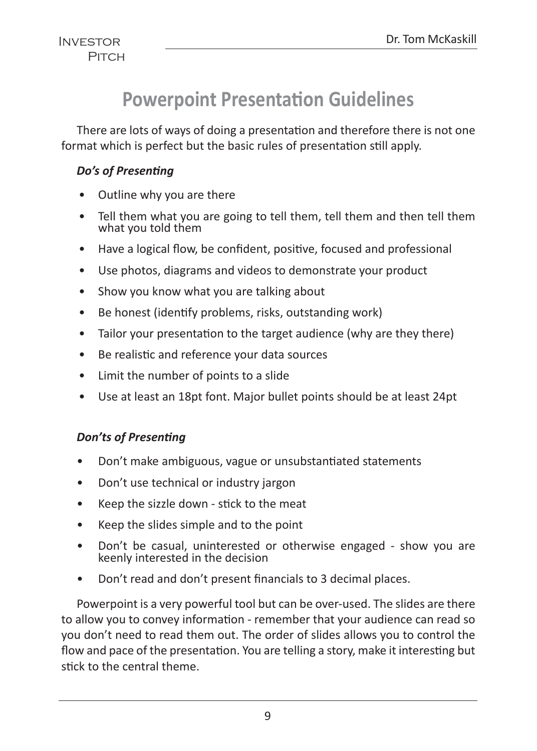# **Powerpoint Presentation Guidelines**

There are lots of ways of doing a presentation and therefore there is not one format which is perfect but the basic rules of presentation still apply.

# *Do's of Presenting*

- Outline why you are there
- Tell them what you are going to tell them, tell them and then tell them what you told them
- Have a logical flow, be confident, positive, focused and professional
- Use photos, diagrams and videos to demonstrate your product
- Show you know what you are talking about
- Be honest (identify problems, risks, outstanding work)
- Tailor your presentation to the target audience (why are they there)
- Be realistic and reference your data sources
- Limit the number of points to a slide
- Use at least an 18pt font. Major bullet points should be at least 24pt

# *Don'ts of Presenting*

- Don't make ambiguous, vague or unsubstantiated statements
- Don't use technical or industry jargon
- Keep the sizzle down stick to the meat
- Keep the slides simple and to the point
- Don't be casual, uninterested or otherwise engaged show you are keenly interested in the decision
- Don't read and don't present financials to 3 decimal places.

Powerpoint is a very powerful tool but can be over-used. The slides are there to allow you to convey information - remember that your audience can read so you don't need to read them out. The order of slides allows you to control the flow and pace of the presentation. You are telling a story, make it interesting but stick to the central theme.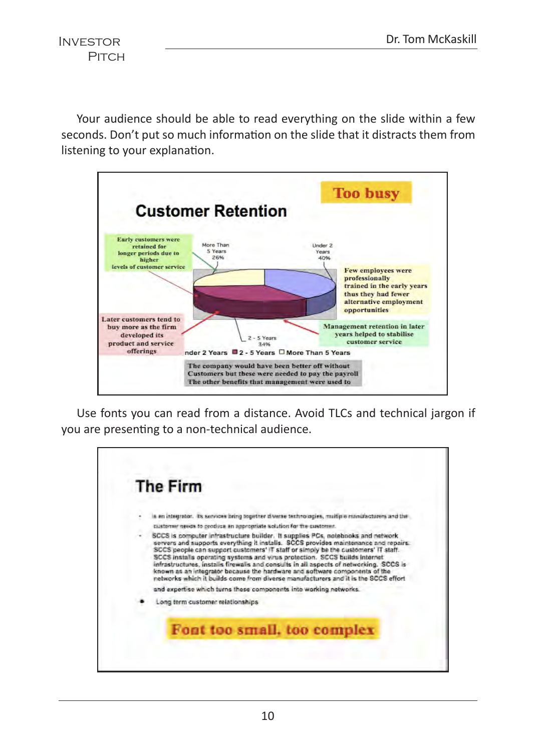Your audience should be able to read everything on the slide within a few seconds. Don't put so much information on the slide that it distracts them from listening to your explanation.



Use fonts you can read from a distance. Avoid TLCs and technical jargon if you are presenting to a non-technical audience.

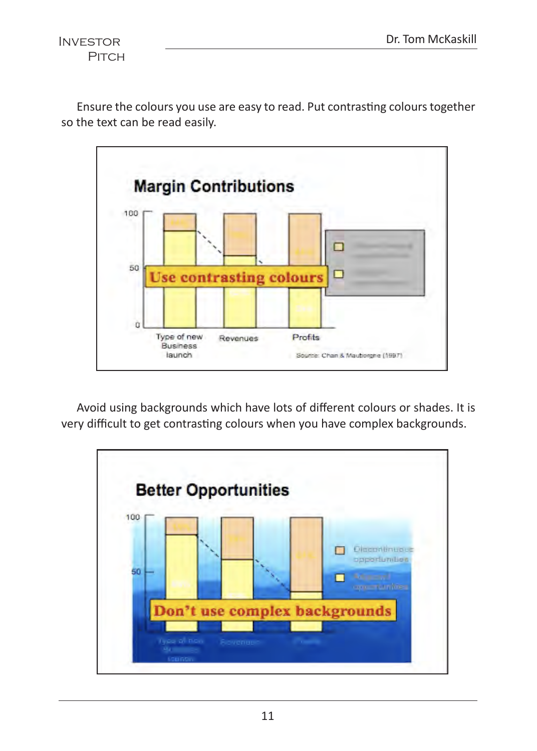Ensure the colours you use are easy to read. Put contrasting colours together so the text can be read easily.



Avoid using backgrounds which have lots of different colours or shades. It is very difficult to get contrasting colours when you have complex backgrounds.

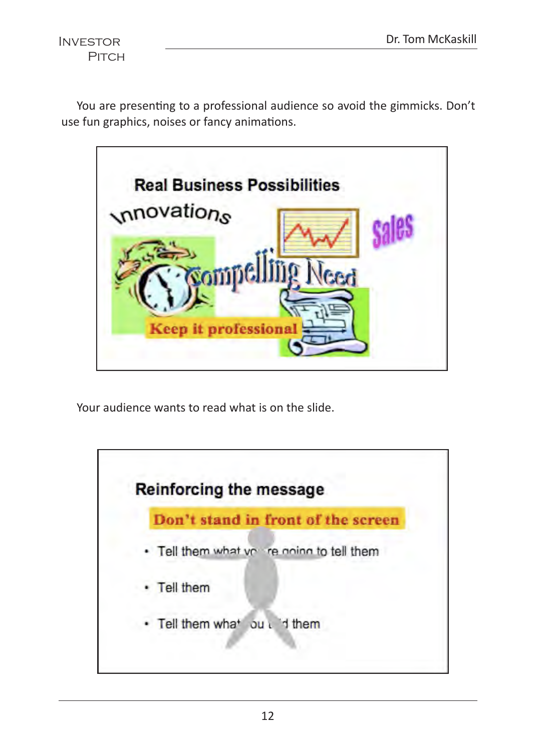You are presenting to a professional audience so avoid the gimmicks. Don't use fun graphics, noises or fancy animations.



Your audience wants to read what is on the slide.

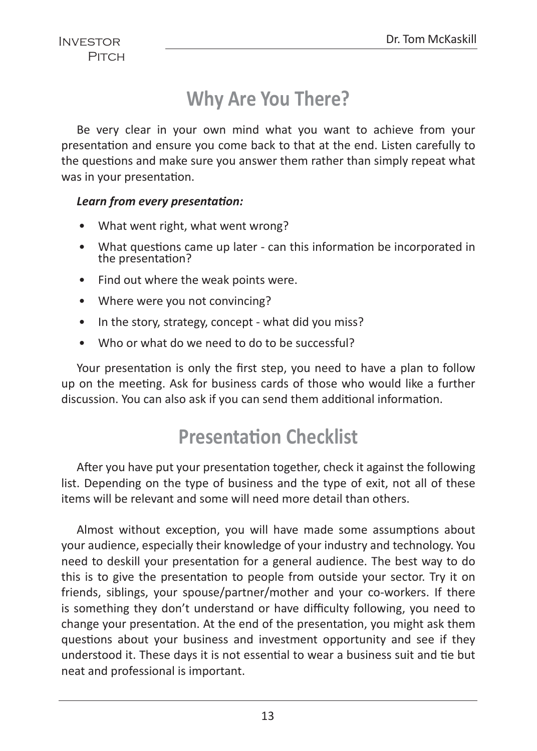# **Why Are You There?**

Be very clear in your own mind what you want to achieve from your presentation and ensure you come back to that at the end. Listen carefully to the questions and make sure you answer them rather than simply repeat what was in your presentation.

### *Learn from every presentation:*

- What went right, what went wrong?
- What questions came up later can this information be incorporated in the presentation?
- Find out where the weak points were.
- Where were you not convincing?
- In the story, strategy, concept what did you miss?
- Who or what do we need to do to be successful?

Your presentation is only the first step, you need to have a plan to follow up on the meeting. Ask for business cards of those who would like a further discussion. You can also ask if you can send them additional information.

# **Presentation Checklist**

After you have put your presentation together, check it against the following list. Depending on the type of business and the type of exit, not all of these items will be relevant and some will need more detail than others.

Almost without exception, you will have made some assumptions about your audience, especially their knowledge of your industry and technology. You need to deskill your presentation for a general audience. The best way to do this is to give the presentation to people from outside your sector. Try it on friends, siblings, your spouse/partner/mother and your co-workers. If there is something they don't understand or have difficulty following, you need to change your presentation. At the end of the presentation, you might ask them questions about your business and investment opportunity and see if they understood it. These days it is not essential to wear a business suit and tie but neat and professional is important.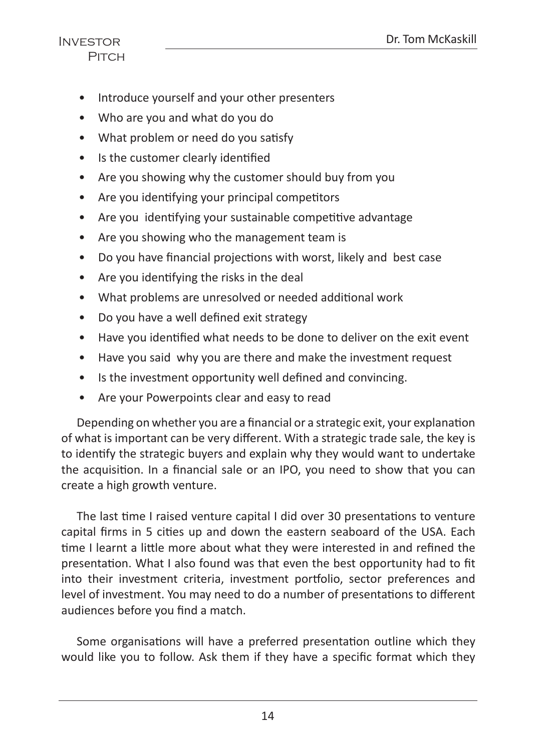- Introduce yourself and your other presenters
- Who are you and what do you do
- What problem or need do you satisfy
- Is the customer clearly identified
- Are you showing why the customer should buy from you
- Are you identifying your principal competitors
- Are you identifying your sustainable competitive advantage
- Are you showing who the management team is
- Do you have financial projections with worst, likely and best case
- Are you identifying the risks in the deal
- What problems are unresolved or needed additional work
- Do you have a well defined exit strategy
- Have you identified what needs to be done to deliver on the exit event
- Have you said why you are there and make the investment request
- Is the investment opportunity well defined and convincing.
- Are your Powerpoints clear and easy to read

Depending on whether you are a financial or a strategic exit, your explanation of what is important can be very different. With a strategic trade sale, the key is to identify the strategic buyers and explain why they would want to undertake the acquisition. In a financial sale or an IPO, you need to show that you can create a high growth venture.

The last time I raised venture capital I did over 30 presentations to venture capital firms in 5 cities up and down the eastern seaboard of the USA. Each time I learnt a little more about what they were interested in and refined the presentation. What I also found was that even the best opportunity had to fit into their investment criteria, investment portfolio, sector preferences and level of investment. You may need to do a number of presentations to different audiences before you find a match.

Some organisations will have a preferred presentation outline which they would like you to follow. Ask them if they have a specific format which they